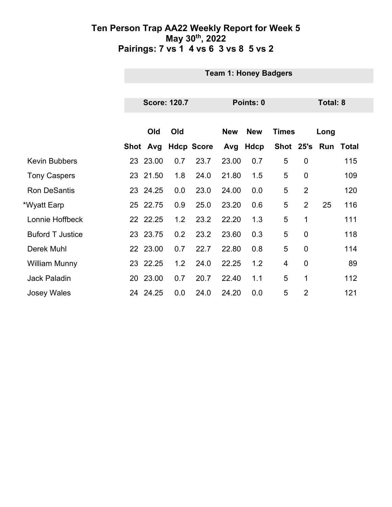|                         | <b>Team 1: Honey Badgers</b> |                     |                   |            |             |               |                |                 |       |  |
|-------------------------|------------------------------|---------------------|-------------------|------------|-------------|---------------|----------------|-----------------|-------|--|
|                         |                              |                     |                   |            |             |               |                |                 |       |  |
|                         |                              | <b>Score: 120.7</b> |                   | Points: 0  |             |               |                | <b>Total: 8</b> |       |  |
|                         |                              |                     |                   |            |             |               |                |                 |       |  |
|                         | Old                          | Old                 |                   | <b>New</b> | <b>New</b>  | <b>Times</b>  |                | Long            |       |  |
|                         | Shot Avg                     |                     | <b>Hdcp Score</b> | Avg        | <b>Hdcp</b> | Shot 25's Run |                |                 | Total |  |
| <b>Kevin Bubbers</b>    | 23 23.00                     | 0.7                 | 23.7              | 23.00      | 0.7         | 5             | $\mathbf 0$    |                 | 115   |  |
| <b>Tony Caspers</b>     | 23 21.50                     | 1.8                 | 24.0              | 21.80      | 1.5         | 5             | $\overline{0}$ |                 | 109   |  |
| <b>Ron DeSantis</b>     | 23 24.25                     | 0.0                 | 23.0              | 24.00      | 0.0         | 5             | $\overline{2}$ |                 | 120   |  |
| *Wyatt Earp             | 25 22.75                     | 0.9                 | 25.0              | 23.20      | 0.6         | 5             | $\overline{2}$ | 25              | 116   |  |
| Lonnie Hoffbeck         | 22 22.25                     | 1.2                 | 23.2              | 22.20      | 1.3         | 5             | 1              |                 | 111   |  |
| <b>Buford T Justice</b> | 23 23.75                     | 0.2                 | 23.2              | 23.60      | 0.3         | 5             | $\mathbf 0$    |                 | 118   |  |
| Derek Muhl              | 22 23.00                     | 0.7                 | 22.7              | 22.80      | 0.8         | 5             | $\mathbf 0$    |                 | 114   |  |
| <b>William Munny</b>    | 23 22.25                     | 1.2                 | 24.0              | 22.25      | 1.2         | 4             | $\overline{0}$ |                 | 89    |  |
| <b>Jack Paladin</b>     | 20 23.00                     | 0.7                 | 20.7              | 22.40      | 1.1         | 5             | 1              |                 | 112   |  |
| <b>Josey Wales</b>      | 24 24.25                     | 0.0                 | 24.0              | 24.20      | 0.0         | 5             | $\overline{2}$ |                 | 121   |  |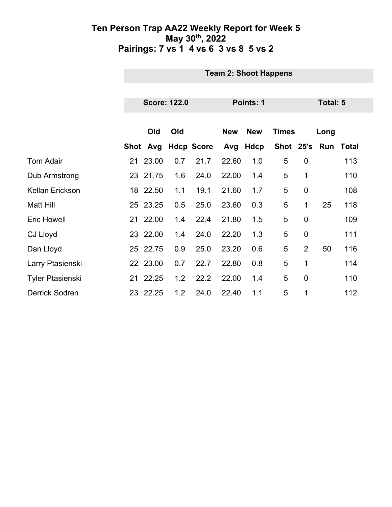|                         |                 | <b>Team 2: Shoot Happens</b> |     |                   |            |             |               |                 |      |              |  |
|-------------------------|-----------------|------------------------------|-----|-------------------|------------|-------------|---------------|-----------------|------|--------------|--|
|                         |                 |                              |     |                   |            |             |               |                 |      |              |  |
|                         |                 | <b>Score: 122.0</b>          |     |                   |            | Points: 1   |               | <b>Total: 5</b> |      |              |  |
|                         |                 |                              |     |                   |            |             |               |                 |      |              |  |
|                         |                 | Old                          | Old |                   | <b>New</b> | <b>New</b>  | <b>Times</b>  |                 | Long |              |  |
|                         |                 | Shot Avg                     |     | <b>Hdcp Score</b> | Avg        | <b>Hdcp</b> | Shot 25's Run |                 |      | <b>Total</b> |  |
| <b>Tom Adair</b>        |                 | 21 23.00                     | 0.7 | 21.7              | 22.60      | 1.0         | 5             | $\mathbf 0$     |      | 113          |  |
| Dub Armstrong           |                 | 23 21.75                     | 1.6 | 24.0              | 22.00      | 1.4         | 5             | 1               |      | 110          |  |
| Kellan Erickson         |                 | 18 22.50                     | 1.1 | 19.1              | 21.60      | 1.7         | 5             | $\mathbf 0$     |      | 108          |  |
| <b>Matt Hill</b>        |                 | 25 23.25                     | 0.5 | 25.0              | 23.60      | 0.3         | 5             | 1               | 25   | 118          |  |
| <b>Eric Howell</b>      | 21 <sup>°</sup> | 22.00                        | 1.4 | 22.4              | 21.80      | 1.5         | 5             | $\mathbf 0$     |      | 109          |  |
| <b>CJ Lloyd</b>         |                 | 23 22.00                     | 1.4 | 24.0              | 22.20      | 1.3         | 5             | $\mathbf 0$     |      | 111          |  |
| Dan Lloyd               |                 | 25 22.75                     | 0.9 | 25.0              | 23.20      | 0.6         | 5             | $\overline{2}$  | 50   | 116          |  |
| Larry Ptasienski        |                 | 22 23.00                     | 0.7 | 22.7              | 22.80      | 0.8         | 5             | 1               |      | 114          |  |
| <b>Tyler Ptasienski</b> |                 | 21 22.25                     | 1.2 | 22.2              | 22.00      | 1.4         | 5             | $\mathbf 0$     |      | 110          |  |
| <b>Derrick Sodren</b>   |                 | 23 22.25                     | 1.2 | 24.0              | 22.40      | 1.1         | 5             | 1               |      | 112          |  |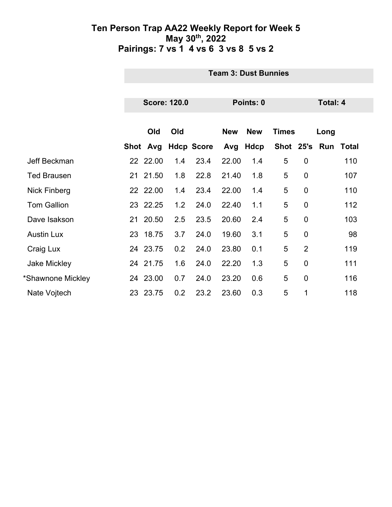|                     | <b>Team 3: Dust Bunnies</b> |     |                   |            |            |               |                |                 |       |  |
|---------------------|-----------------------------|-----|-------------------|------------|------------|---------------|----------------|-----------------|-------|--|
|                     |                             |     |                   |            |            |               |                |                 |       |  |
|                     | <b>Score: 120.0</b>         |     |                   |            | Points: 0  |               |                | <b>Total: 4</b> |       |  |
|                     |                             |     |                   |            |            |               |                |                 |       |  |
|                     | Old                         | Old |                   | <b>New</b> | <b>New</b> | <b>Times</b>  |                | Long            |       |  |
|                     | Shot Avg                    |     | <b>Hdcp Score</b> |            | Avg Hdcp   | Shot 25's Run |                |                 | Total |  |
| Jeff Beckman        | 22 22.00                    | 1.4 | 23.4              | 22.00      | 1.4        | 5             | $\mathbf 0$    |                 | 110   |  |
| <b>Ted Brausen</b>  | 21 21.50                    | 1.8 | 22.8              | 21.40      | 1.8        | 5             | $\mathbf 0$    |                 | 107   |  |
| <b>Nick Finberg</b> | 22 22.00                    | 1.4 | 23.4              | 22.00      | 1.4        | 5             | $\overline{0}$ |                 | 110   |  |
| <b>Tom Gallion</b>  | 23 22.25                    | 1.2 | 24.0              | 22.40      | 1.1        | 5             | $\overline{0}$ |                 | 112   |  |
| Dave Isakson        | 21 20.50                    | 2.5 | 23.5              | 20.60      | 2.4        | 5             | $\overline{0}$ |                 | 103   |  |
| <b>Austin Lux</b>   | 23 18.75                    | 3.7 | 24.0              | 19.60      | 3.1        | 5             | $\mathbf 0$    |                 | 98    |  |
| Craig Lux           | 24 23.75                    | 0.2 | 24.0              | 23.80      | 0.1        | 5             | $\overline{2}$ |                 | 119   |  |
| <b>Jake Mickley</b> | 24 21.75                    | 1.6 | 24.0              | 22.20      | 1.3        | 5             | $\overline{0}$ |                 | 111   |  |
| *Shawnone Mickley   | 24 23.00                    | 0.7 | 24.0              | 23.20      | 0.6        | 5             | $\overline{0}$ |                 | 116   |  |
| Nate Vojtech        | 23 23.75                    | 0.2 | 23.2              | 23.60      | 0.3        | 5             | $\mathbf 1$    |                 | 118   |  |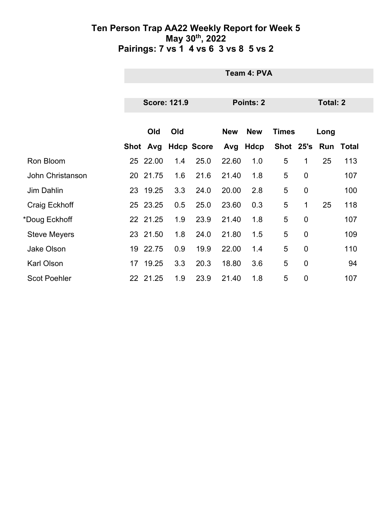|                     |    | Team 4: PVA         |     |                   |                                          |           |   |                |                     |                 |  |  |
|---------------------|----|---------------------|-----|-------------------|------------------------------------------|-----------|---|----------------|---------------------|-----------------|--|--|
|                     |    |                     |     |                   |                                          |           |   |                |                     |                 |  |  |
|                     |    | <b>Score: 121.9</b> |     |                   |                                          | Points: 2 |   |                |                     | <b>Total: 2</b> |  |  |
|                     |    | Old                 | Old |                   | <b>New</b><br><b>New</b><br><b>Times</b> |           |   |                | Long                |                 |  |  |
|                     |    | Shot Avg            |     | <b>Hdcp Score</b> | Avg                                      | Hdcp      |   |                | Shot 25's Run Total |                 |  |  |
| Ron Bloom           | 25 | 22.00               | 1.4 | 25.0              | 22.60                                    | 1.0       | 5 | 1              | 25                  | 113             |  |  |
| John Christanson    |    | 20 21.75            | 1.6 | 21.6              | 21.40                                    | 1.8       | 5 | $\mathbf 0$    |                     | 107             |  |  |
| <b>Jim Dahlin</b>   | 23 | 19.25               | 3.3 | 24.0              | 20.00                                    | 2.8       | 5 | $\mathbf 0$    |                     | 100             |  |  |
| Craig Eckhoff       |    | 25 23.25            | 0.5 | 25.0              | 23.60                                    | 0.3       | 5 | 1              | 25                  | 118             |  |  |
| *Doug Eckhoff       |    | 22 21.25            | 1.9 | 23.9              | 21.40                                    | 1.8       | 5 | $\overline{0}$ |                     | 107             |  |  |
| <b>Steve Meyers</b> |    | 23 21.50            | 1.8 | 24.0              | 21.80                                    | 1.5       | 5 | $\mathbf 0$    |                     | 109             |  |  |
| <b>Jake Olson</b>   | 19 | 22.75               | 0.9 | 19.9              | 22.00                                    | 1.4       | 5 | $\overline{0}$ |                     | 110             |  |  |
| Karl Olson          | 17 | 19.25               | 3.3 | 20.3              | 18.80                                    | 3.6       | 5 | $\mathbf 0$    |                     | 94              |  |  |
| <b>Scot Poehler</b> |    | 22 21.25            | 1.9 | 23.9              | 21.40                                    | 1.8       | 5 | $\mathbf 0$    |                     | 107             |  |  |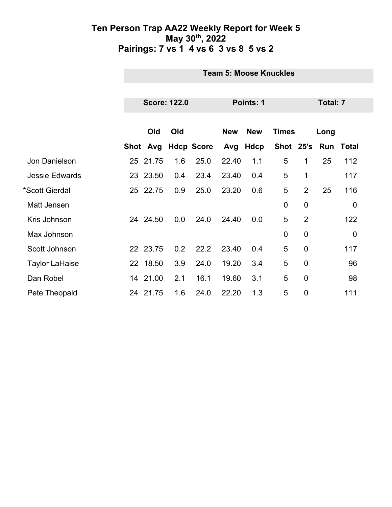|                       | <b>Team 5: Moose Knuckles</b> |     |                   |            |                  |                |                 |      |                  |  |
|-----------------------|-------------------------------|-----|-------------------|------------|------------------|----------------|-----------------|------|------------------|--|
|                       |                               |     |                   |            |                  |                |                 |      |                  |  |
|                       | <b>Score: 122.0</b>           |     |                   |            | <b>Points: 1</b> |                | <b>Total: 7</b> |      |                  |  |
|                       |                               |     |                   |            |                  |                |                 |      |                  |  |
|                       | Old                           | Old |                   | <b>New</b> | <b>New</b>       | <b>Times</b>   |                 | Long |                  |  |
|                       | Shot Avg                      |     | <b>Hdcp Score</b> | Avg        | <b>Hdcp</b>      | Shot 25's      |                 | Run  | <b>Total</b>     |  |
| Jon Danielson         | 25 21.75                      | 1.6 | 25.0              | 22.40      | 1.1              | 5              | 1               | 25   | 112              |  |
| <b>Jessie Edwards</b> | 23 23.50                      | 0.4 | 23.4              | 23.40      | 0.4              | 5              | 1               |      | 117              |  |
| *Scott Gierdal        | 25 22.75                      | 0.9 | 25.0              | 23.20      | 0.6              | 5              | $\overline{2}$  | 25   | 116              |  |
| Matt Jensen           |                               |     |                   |            |                  | 0              | $\mathbf 0$     |      | $\boldsymbol{0}$ |  |
| Kris Johnson          | 24 24.50                      | 0.0 | 24.0              | 24.40      | 0.0              | 5              | $\overline{2}$  |      | 122              |  |
| Max Johnson           |                               |     |                   |            |                  | $\overline{0}$ | $\overline{0}$  |      | $\mathbf 0$      |  |
| Scott Johnson         | 22 23.75                      | 0.2 | 22.2              | 23.40      | 0.4              | 5              | $\overline{0}$  |      | 117              |  |
| <b>Taylor LaHaise</b> | 22 18.50                      | 3.9 | 24.0              | 19.20      | 3.4              | 5              | $\overline{0}$  |      | 96               |  |
| Dan Robel             | 14 21.00                      | 2.1 | 16.1              | 19.60      | 3.1              | 5              | $\mathbf 0$     |      | 98               |  |
| Pete Theopald         | 24 21.75                      | 1.6 | 24.0              | 22.20      | 1.3              | 5              | $\overline{0}$  |      | 111              |  |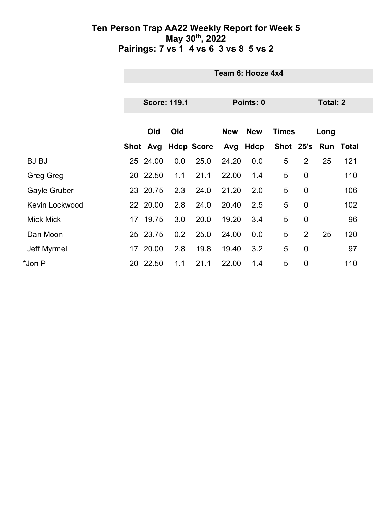|                       |    | Team 6: Hooze 4x4 |                     |                   |            |            |              |                |          |                     |  |  |
|-----------------------|----|-------------------|---------------------|-------------------|------------|------------|--------------|----------------|----------|---------------------|--|--|
|                       |    |                   | <b>Score: 119.1</b> |                   |            | Points: 0  |              |                | Total: 2 |                     |  |  |
|                       |    |                   |                     |                   |            |            |              |                |          |                     |  |  |
|                       |    | Old               | Old                 |                   | <b>New</b> | <b>New</b> | <b>Times</b> |                | Long     |                     |  |  |
|                       |    | Shot Avg          |                     | <b>Hdcp Score</b> | Avg        | Hdcp       |              |                |          | Shot 25's Run Total |  |  |
| <b>BJ BJ</b>          | 25 | 24.00             | 0.0                 | 25.0              | 24.20      | 0.0        | 5            | $\overline{2}$ | 25       | 121                 |  |  |
| <b>Greg Greg</b>      |    | 20 22.50          | 1.1                 | 21.1              | 22.00      | 1.4        | 5            | $\mathbf 0$    |          | 110                 |  |  |
| <b>Gayle Gruber</b>   |    | 23 20.75          | 2.3                 | 24.0              | 21.20      | 2.0        | 5            | $\mathbf 0$    |          | 106                 |  |  |
| <b>Kevin Lockwood</b> |    | 22 20.00          | 2.8                 | 24.0              | 20.40      | 2.5        | 5            | $\overline{0}$ |          | 102                 |  |  |
| <b>Mick Mick</b>      | 17 | 19.75             | 3.0                 | 20.0              | 19.20      | 3.4        | 5            | $\overline{0}$ |          | 96                  |  |  |
| Dan Moon              |    | 25 23.75          | 0.2                 | 25.0              | 24.00      | 0.0        | 5            | $\overline{2}$ | 25       | 120                 |  |  |
| Jeff Myrmel           | 17 | 20.00             | 2.8                 | 19.8              | 19.40      | 3.2        | 5            | $\overline{0}$ |          | 97                  |  |  |
| *Jon P                | 20 | 22.50             | 1.1                 | 21.1              | 22.00      | 1.4        | 5            | $\mathbf 0$    |          | 110                 |  |  |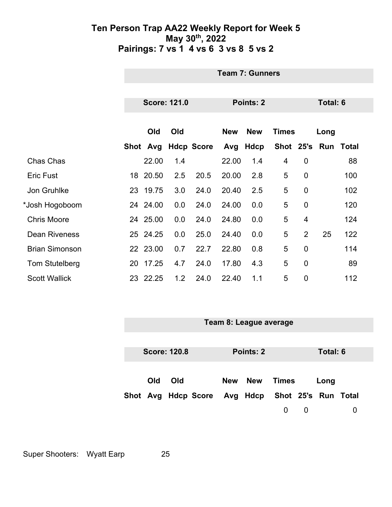|                       | <b>Team 7: Gunners</b> |          |     |                   |            |             |                 |                |      |       |  |
|-----------------------|------------------------|----------|-----|-------------------|------------|-------------|-----------------|----------------|------|-------|--|
|                       |                        |          |     |                   |            |             |                 |                |      |       |  |
|                       | <b>Score: 121.0</b>    |          |     | Points: 2         |            |             | <b>Total: 6</b> |                |      |       |  |
|                       |                        |          |     |                   |            |             |                 |                |      |       |  |
|                       |                        | Old      | Old |                   | <b>New</b> | <b>New</b>  | <b>Times</b>    |                | Long |       |  |
|                       |                        | Shot Avg |     | <b>Hdcp Score</b> | Avg        | <b>Hdcp</b> | Shot 25's Run   |                |      | Total |  |
| Chas Chas             |                        | 22.00    | 1.4 |                   | 22.00      | 1.4         | 4               | $\mathbf 0$    |      | 88    |  |
| <b>Eric Fust</b>      |                        | 18 20.50 | 2.5 | 20.5              | 20.00      | 2.8         | 5               | $\overline{0}$ |      | 100   |  |
| Jon Gruhlke           |                        | 23 19.75 | 3.0 | 24.0              | 20.40      | 2.5         | 5               | $\mathbf 0$    |      | 102   |  |
| *Josh Hogoboom        |                        | 24 24.00 | 0.0 | 24.0              | 24.00      | 0.0         | 5               | $\overline{0}$ |      | 120   |  |
| <b>Chris Moore</b>    |                        | 24 25.00 | 0.0 | 24.0              | 24.80      | 0.0         | 5               | $\overline{4}$ |      | 124   |  |
| <b>Dean Riveness</b>  |                        | 25 24.25 | 0.0 | 25.0              | 24.40      | 0.0         | 5               | $\overline{2}$ | 25   | 122   |  |
| <b>Brian Simonson</b> |                        | 22 23.00 | 0.7 | 22.7              | 22.80      | 0.8         | 5               | $\overline{0}$ |      | 114   |  |
| Tom Stutelberg        | 20                     | 17.25    | 4.7 | 24.0              | 17.80      | 4.3         | 5               | $\overline{0}$ |      | 89    |  |
| <b>Scott Wallick</b>  |                        | 23 22.25 | 1.2 | 24.0              | 22.40      | 1.1         | 5               | $\overline{0}$ |      | 112   |  |



Super Shooters: Wyatt Earp 25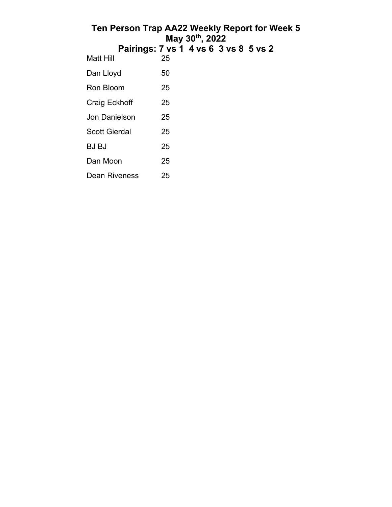| Ten Person Trap AA22 Weekly Report for Week 5 |    | May 30th, 2022 |  |  |
|-----------------------------------------------|----|----------------|--|--|
| Pairings: 7 vs 1 4 vs 6 3 vs 8 5 vs 2         |    |                |  |  |
| Matt Hill                                     | 25 |                |  |  |
| Dan Lloyd                                     | 50 |                |  |  |
| Ron Bloom                                     | 25 |                |  |  |
| Craig Eckhoff                                 | 25 |                |  |  |
| <b>Jon Danielson</b>                          | 25 |                |  |  |
| Scott Gierdal                                 | 25 |                |  |  |
| <b>BJ BJ</b>                                  | 25 |                |  |  |
| Dan Moon                                      | 25 |                |  |  |
| Dean Riveness                                 | 25 |                |  |  |
|                                               |    |                |  |  |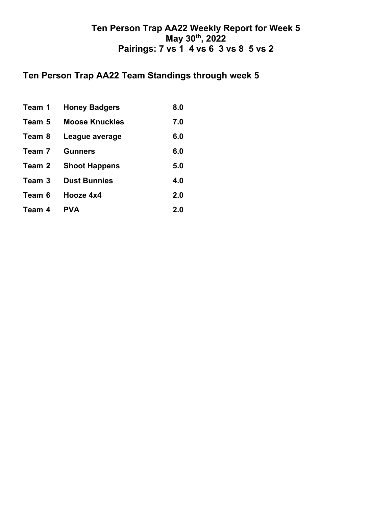## **Ten Person Trap AA22 Team Standings through week 5**

| Team 1 | <b>Honey Badgers</b>  | 8.0 |
|--------|-----------------------|-----|
| Team 5 | <b>Moose Knuckles</b> | 7.0 |
| Team 8 | League average        | 6.0 |
| Team 7 | <b>Gunners</b>        | 6.0 |
| Team 2 | <b>Shoot Happens</b>  | 5.0 |
| Team 3 | <b>Dust Bunnies</b>   | 4.0 |
| Team 6 | Hooze 4x4             | 2.0 |
| Team 4 | <b>PVA</b>            | 2.0 |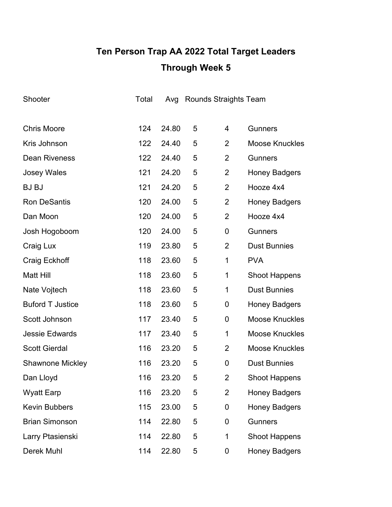# **Ten Person Trap AA 2022 Total Target Leaders Through Week 5**

| Shooter                 | Total | Avg   |   | <b>Rounds Straights Team</b> |                       |
|-------------------------|-------|-------|---|------------------------------|-----------------------|
|                         |       |       |   |                              |                       |
| <b>Chris Moore</b>      | 124   | 24.80 | 5 | 4                            | <b>Gunners</b>        |
| Kris Johnson            | 122   | 24.40 | 5 | 2                            | <b>Moose Knuckles</b> |
| <b>Dean Riveness</b>    | 122   | 24.40 | 5 | 2                            | <b>Gunners</b>        |
| <b>Josey Wales</b>      | 121   | 24.20 | 5 | $\overline{2}$               | <b>Honey Badgers</b>  |
| <b>BJ BJ</b>            | 121   | 24.20 | 5 | $\overline{2}$               | Hooze 4x4             |
| <b>Ron DeSantis</b>     | 120   | 24.00 | 5 | $\overline{2}$               | <b>Honey Badgers</b>  |
| Dan Moon                | 120   | 24.00 | 5 | $\overline{2}$               | Hooze 4x4             |
| Josh Hogoboom           | 120   | 24.00 | 5 | $\mathbf 0$                  | <b>Gunners</b>        |
| Craig Lux               | 119   | 23.80 | 5 | 2                            | <b>Dust Bunnies</b>   |
| Craig Eckhoff           | 118   | 23.60 | 5 | 1                            | <b>PVA</b>            |
| <b>Matt Hill</b>        | 118   | 23.60 | 5 | 1                            | <b>Shoot Happens</b>  |
| Nate Vojtech            | 118   | 23.60 | 5 | 1                            | <b>Dust Bunnies</b>   |
| <b>Buford T Justice</b> | 118   | 23.60 | 5 | 0                            | <b>Honey Badgers</b>  |
| Scott Johnson           | 117   | 23.40 | 5 | 0                            | <b>Moose Knuckles</b> |
| <b>Jessie Edwards</b>   | 117   | 23.40 | 5 | 1                            | <b>Moose Knuckles</b> |
| <b>Scott Gierdal</b>    | 116   | 23.20 | 5 | 2                            | <b>Moose Knuckles</b> |
| <b>Shawnone Mickley</b> | 116   | 23.20 | 5 | 0                            | <b>Dust Bunnies</b>   |
| Dan Lloyd               | 116   | 23.20 | 5 | 2                            | <b>Shoot Happens</b>  |
| <b>Wyatt Earp</b>       | 116   | 23.20 | 5 | $\overline{2}$               | <b>Honey Badgers</b>  |
| <b>Kevin Bubbers</b>    | 115   | 23.00 | 5 | 0                            | <b>Honey Badgers</b>  |
| <b>Brian Simonson</b>   | 114   | 22.80 | 5 | 0                            | <b>Gunners</b>        |
| Larry Ptasienski        | 114   | 22.80 | 5 | $\mathbf 1$                  | <b>Shoot Happens</b>  |
| Derek Muhl              | 114   | 22.80 | 5 | 0                            | <b>Honey Badgers</b>  |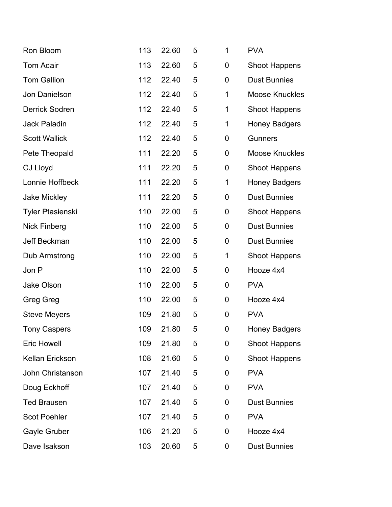| Ron Bloom               | 113 | 22.60 | 5 | $\mathbf 1$      | <b>PVA</b>            |
|-------------------------|-----|-------|---|------------------|-----------------------|
| <b>Tom Adair</b>        | 113 | 22.60 | 5 | 0                | <b>Shoot Happens</b>  |
| <b>Tom Gallion</b>      | 112 | 22.40 | 5 | $\boldsymbol{0}$ | <b>Dust Bunnies</b>   |
| Jon Danielson           | 112 | 22.40 | 5 | 1                | <b>Moose Knuckles</b> |
| <b>Derrick Sodren</b>   | 112 | 22.40 | 5 | 1                | <b>Shoot Happens</b>  |
| <b>Jack Paladin</b>     | 112 | 22.40 | 5 | 1                | <b>Honey Badgers</b>  |
| <b>Scott Wallick</b>    | 112 | 22.40 | 5 | $\boldsymbol{0}$ | <b>Gunners</b>        |
| Pete Theopald           | 111 | 22.20 | 5 | $\boldsymbol{0}$ | <b>Moose Knuckles</b> |
| <b>CJ Lloyd</b>         | 111 | 22.20 | 5 | $\boldsymbol{0}$ | <b>Shoot Happens</b>  |
| Lonnie Hoffbeck         | 111 | 22.20 | 5 | 1                | <b>Honey Badgers</b>  |
| <b>Jake Mickley</b>     | 111 | 22.20 | 5 | $\mathbf 0$      | <b>Dust Bunnies</b>   |
| <b>Tyler Ptasienski</b> | 110 | 22.00 | 5 | $\boldsymbol{0}$ | <b>Shoot Happens</b>  |
| <b>Nick Finberg</b>     | 110 | 22.00 | 5 | $\boldsymbol{0}$ | <b>Dust Bunnies</b>   |
| Jeff Beckman            | 110 | 22.00 | 5 | $\boldsymbol{0}$ | <b>Dust Bunnies</b>   |
| Dub Armstrong           | 110 | 22.00 | 5 | 1                | <b>Shoot Happens</b>  |
| Jon P                   | 110 | 22.00 | 5 | $\mathbf 0$      | Hooze 4x4             |
| <b>Jake Olson</b>       | 110 | 22.00 | 5 | $\boldsymbol{0}$ | <b>PVA</b>            |
| <b>Greg Greg</b>        | 110 | 22.00 | 5 | $\boldsymbol{0}$ | Hooze 4x4             |
| <b>Steve Meyers</b>     | 109 | 21.80 | 5 | $\boldsymbol{0}$ | <b>PVA</b>            |
| <b>Tony Caspers</b>     | 109 | 21.80 | 5 | 0                | <b>Honey Badgers</b>  |
| <b>Eric Howell</b>      | 109 | 21.80 | 5 | $\mathbf 0$      | <b>Shoot Happens</b>  |
| Kellan Erickson         | 108 | 21.60 | 5 | 0                | <b>Shoot Happens</b>  |
| John Christanson        | 107 | 21.40 | 5 | 0                | <b>PVA</b>            |
| Doug Eckhoff            | 107 | 21.40 | 5 | $\mathbf 0$      | <b>PVA</b>            |
| <b>Ted Brausen</b>      | 107 | 21.40 | 5 | $\boldsymbol{0}$ | <b>Dust Bunnies</b>   |
| <b>Scot Poehler</b>     | 107 | 21.40 | 5 | $\boldsymbol{0}$ | <b>PVA</b>            |
| Gayle Gruber            | 106 | 21.20 | 5 | $\mathbf 0$      | Hooze 4x4             |
| Dave Isakson            | 103 | 20.60 | 5 | 0                | <b>Dust Bunnies</b>   |